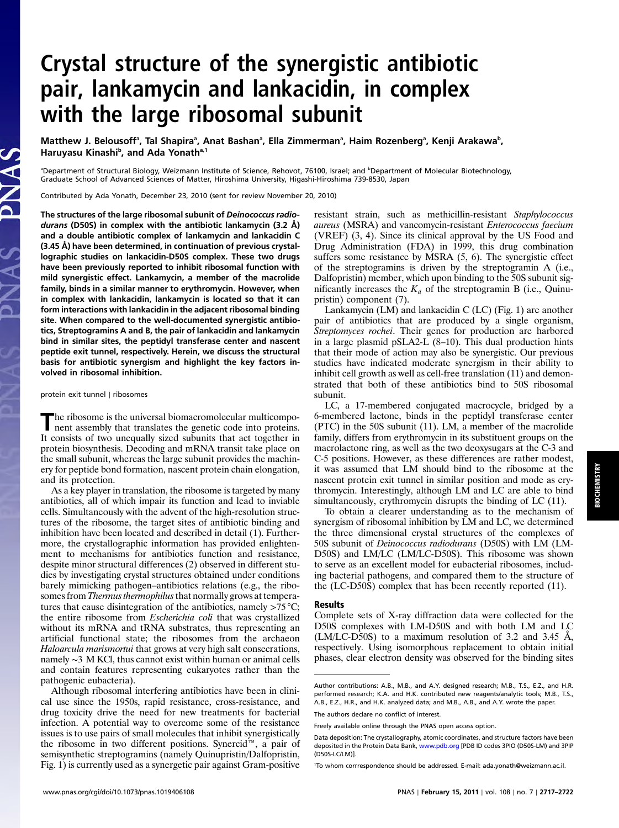# Crystal structure of the synergistic antibiotic pair, lankamycin and lankacidin, in complex with the large ribosomal subunit

Matthew J. Belousoffª, Tal Shapiraª, Anat Bashanª, Ella Zimmermanª, Haim Rozenbergª, Kenji Arakawa<sup>b</sup>, Haruyasu Kinashi<sup>b</sup>, and Ada Yonath<sup>a,1</sup>

<sup>a</sup>Department of Structural Biology, Weizmann Institute of Science, Rehovot, 76100, Israel; and <sup>b</sup>Department of Molecular Biotechnology, Graduate School of Advanced Sciences of Matter, Hiroshima University, Higashi-Hiroshima 739-8530, Japan

Contributed by Ada Yonath, December 23, 2010 (sent for review November 20, 2010)

The structures of the large ribosomal subunit of Deinococcus radiodurans (D50S) in complex with the antibiotic lankamycin (3.2 Å) and a double antibiotic complex of lankamycin and lankacidin C (3.45 Å) have been determined, in continuation of previous crystallographic studies on lankacidin-D50S complex. These two drugs have been previously reported to inhibit ribosomal function with mild synergistic effect. Lankamycin, a member of the macrolide family, binds in a similar manner to erythromycin. However, when in complex with lankacidin, lankamycin is located so that it can form interactions with lankacidin in the adjacent ribosomal binding site. When compared to the well-documented synergistic antibiotics, Streptogramins A and B, the pair of lankacidin and lankamycin bind in similar sites, the peptidyl transferase center and nascent peptide exit tunnel, respectively. Herein, we discuss the structural basis for antibiotic synergism and highlight the key factors involved in ribosomal inhibition.

protein exit tunnel ∣ ribosomes

S V N C

JAS

The ribosome is the universal biomacromolecular multicomponent assembly that translates the genetic code into proteins. It consists of two unequally sized subunits that act together in protein biosynthesis. Decoding and mRNA transit take place on the small subunit, whereas the large subunit provides the machinery for peptide bond formation, nascent protein chain elongation, and its protection.

As a key player in translation, the ribosome is targeted by many antibiotics, all of which impair its function and lead to inviable cells. Simultaneously with the advent of the high-resolution structures of the ribosome, the target sites of antibiotic binding and inhibition have been located and described in detail (1). Furthermore, the crystallographic information has provided enlightenment to mechanisms for antibiotics function and resistance, despite minor structural differences (2) observed in different studies by investigating crystal structures obtained under conditions barely mimicking pathogen–antibiotics relations (e.g., the ribosomes from *Thermus thermophilus* that normally grows at temperatures that cause disintegration of the antibiotics, namely  $>75^{\circ}$ C; the entire ribosome from Escherichia coli that was crystallized without its mRNA and tRNA substrates, thus representing an artificial functional state; the ribosomes from the archaeon Haloarcula marismortui that grows at very high salt consecrations, namely ∼3 M KCl, thus cannot exist within human or animal cells and contain features representing eukaryotes rather than the pathogenic eubacteria).

Although ribosomal interfering antibiotics have been in clinical use since the 1950s, rapid resistance, cross-resistance, and drug toxicity drive the need for new treatments for bacterial infection. A potential way to overcome some of the resistance issues is to use pairs of small molecules that inhibit synergistically the ribosome in two different positions. Synercid™, a pair of semisynthetic streptogramins (namely Quinupristin/Dalfopristin, Fig. 1) is currently used as a synergetic pair against Gram-positive resistant strain, such as methicillin-resistant Staphylococcus aureus (MSRA) and vancomycin-resistant Enterococcus faecium (VREF) (3, 4). Since its clinical approval by the US Food and Drug Administration (FDA) in 1999, this drug combination suffers some resistance by MSRA (5, 6). The synergistic effect of the streptogramins is driven by the streptogramin A (i.e., Dalfopristin) member, which upon binding to the 50S subunit significantly increases the  $K_a$  of the streptogramin B (i.e., Quinupristin) component (7).

Lankamycin (LM) and lankacidin C (LC) (Fig. 1) are another pair of antibiotics that are produced by a single organism, Streptomyces rochei. Their genes for production are harbored in a large plasmid pSLA2-L (8–10). This dual production hints that their mode of action may also be synergistic. Our previous studies have indicated moderate synergism in their ability to inhibit cell growth as well as cell-free translation (11) and demonstrated that both of these antibiotics bind to 50S ribosomal subunit.

LC, a 17-membered conjugated macrocycle, bridged by a 6-membered lactone, binds in the peptidyl transferase center (PTC) in the 50S subunit (11). LM, a member of the macrolide family, differs from erythromycin in its substituent groups on the macrolactone ring, as well as the two deoxysugars at the C-3 and C-5 positions. However, as these differences are rather modest, it was assumed that LM should bind to the ribosome at the nascent protein exit tunnel in similar position and mode as erythromycin. Interestingly, although LM and LC are able to bind simultaneously, erythromycin disrupts the binding of LC (11).

To obtain a clearer understanding as to the mechanism of synergism of ribosomal inhibition by LM and LC, we determined the three dimensional crystal structures of the complexes of 50S subunit of Deinococcus radiodurans (D50S) with LM (LM-D50S) and LM/LC (LM/LC-D50S). This ribosome was shown to serve as an excellent model for eubacterial ribosomes, including bacterial pathogens, and compared them to the structure of the (LC-D50S) complex that has been recently reported (11).

## Results

Complete sets of X-ray diffraction data were collected for the D50S complexes with LM-D50S and with both LM and LC (LM/LC-D50S) to a maximum resolution of 3.2 and 3.45 Å, respectively. Using isomorphous replacement to obtain initial phases, clear electron density was observed for the binding sites

Author contributions: A.B., M.B., and A.Y. designed research; M.B., T.S., E.Z., and H.R. performed research; K.A. and H.K. contributed new reagents/analytic tools; M.B., T.S., A.B., E.Z., H.R., and H.K. analyzed data; and M.B., A.B., and A.Y. wrote the paper. The authors declare no conflict of interest.

Freely available online through the PNAS open access option.

Data deposition: The crystallography, atomic coordinates, and structure factors have been deposited in the Protein Data Bank, <www.pdb.org> [PDB ID codes 3PIO (D50S-LM) and 3PIP (D50S-LC/LM)].

<sup>1</sup> To whom corrrespondence should be addressed. E-mail: ada.yonath@weizmann.ac.il.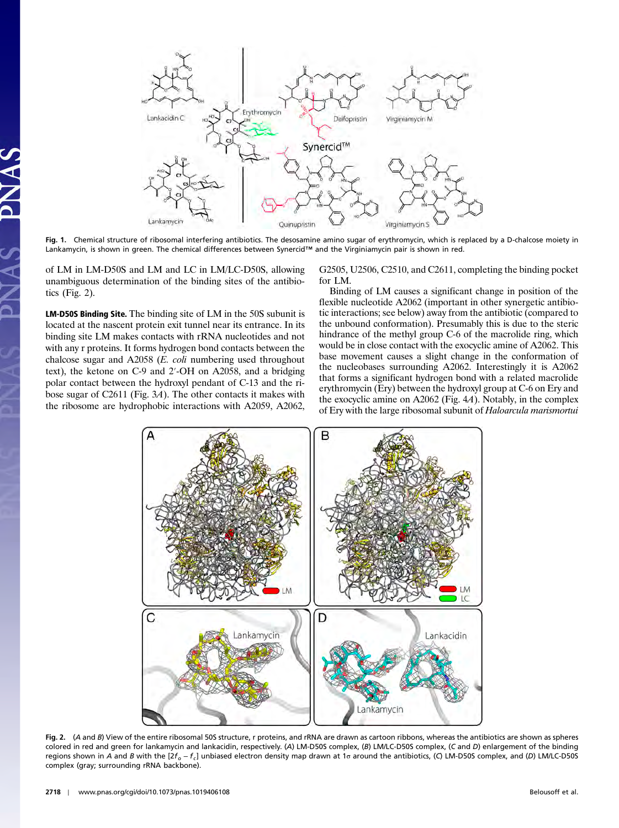

Fig. 1. Chemical structure of ribosomal interfering antibiotics. The desosamine amino sugar of erythromycin, which is replaced by a D-chalcose moiety in Lankamycin, is shown in green. The chemical differences between Synercid™ and the Virginiamycin pair is shown in red.

of LM in LM-D50S and LM and LC in LM/LC-D50S, allowing unambiguous determination of the binding sites of the antibiotics (Fig. 2).

LM-D50S Binding Site. The binding site of LM in the 50S subunit is located at the nascent protein exit tunnel near its entrance. In its binding site LM makes contacts with rRNA nucleotides and not with any r proteins. It forms hydrogen bond contacts between the chalcose sugar and A2058 ( $E$ . *coli* numbering used throughout text), the ketone on C-9 and 2′-OH on A2058, and a bridging polar contact between the hydroxyl pendant of C-13 and the ribose sugar of C2611 (Fig. 3A). The other contacts it makes with the ribosome are hydrophobic interactions with A2059, A2062,

G2505, U2506, C2510, and C2611, completing the binding pocket for LM.

Binding of LM causes a significant change in position of the flexible nucleotide A2062 (important in other synergetic antibiotic interactions; see below) away from the antibiotic (compared to the unbound conformation). Presumably this is due to the steric hindrance of the methyl group C-6 of the macrolide ring, which would be in close contact with the exocyclic amine of A2062. This base movement causes a slight change in the conformation of the nucleobases surrounding A2062. Interestingly it is A2062 that forms a significant hydrogen bond with a related macrolide erythromycin (Ery) between the hydroxyl group at C-6 on Ery and the exocyclic amine on A2062 (Fig. 4A). Notably, in the complex of Ery with the large ribosomal subunit of Haloarcula marismortui



Fig. 2. (A and B) View of the entire ribosomal 50S structure, r proteins, and rRNA are drawn as cartoon ribbons, whereas the antibiotics are shown as spheres colored in red and green for lankamycin and lankacidin, respectively. (A) LM-D50S complex, (B) LM/LC-D50S complex, (C and D) enlargement of the binding regions shown in A and B with the [ $2f_o - f_c$ ] unbiased electron density map drawn at 1σ around the antibiotics, (C) LM-D50S complex, and (D) LM/LC-D50S complex (gray; surrounding rRNA backbone).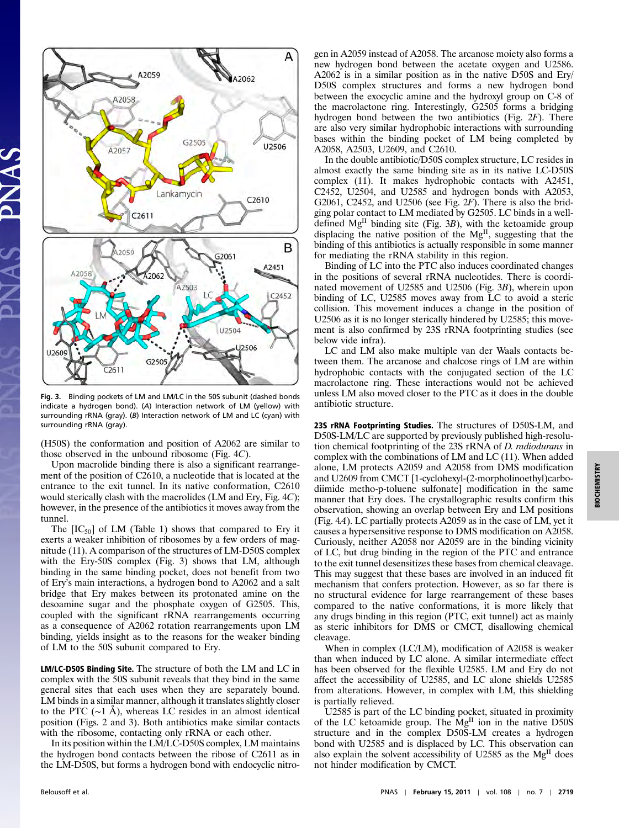

Fig. 3. Binding pockets of LM and LM/LC in the 50S subunit (dashed bonds indicate a hydrogen bond). (A) Interaction network of LM (yellow) with surrounding rRNA (gray). (B) Interaction network of LM and LC (cyan) with surrounding rRNA (gray).

(H50S) the conformation and position of A2062 are similar to those observed in the unbound ribosome (Fig. 4C).

Upon macrolide binding there is also a significant rearrangement of the position of C2610, a nucleotide that is located at the entrance to the exit tunnel. In its native conformation, C2610 would sterically clash with the macrolides (LM and Ery, Fig. 4C); however, in the presence of the antibiotics it moves away from the tunnel.

The  $[IC_{50}]$  of LM (Table 1) shows that compared to Ery it exerts a weaker inhibition of ribosomes by a few orders of magnitude (11). A comparison of the structures of LM-D50S complex with the Ery-50S complex (Fig. 3) shows that LM, although binding in the same binding pocket, does not benefit from two of Ery's main interactions, a hydrogen bond to A2062 and a salt bridge that Ery makes between its protonated amine on the desoamine sugar and the phosphate oxygen of G2505. This, coupled with the significant rRNA rearrangements occurring as a consequence of A2062 rotation rearrangements upon LM binding, yields insight as to the reasons for the weaker binding of LM to the 50S subunit compared to Ery.

LM/LC-D50S Binding Site. The structure of both the LM and LC in complex with the 50S subunit reveals that they bind in the same general sites that each uses when they are separately bound. LM binds in a similar manner, although it translates slightly closer to the PTC (∼1 Å), whereas LC resides in an almost identical position (Figs. 2 and 3). Both antibiotics make similar contacts with the ribosome, contacting only rRNA or each other.

In its position within the LM/LC-D50S complex, LM maintains the hydrogen bond contacts between the ribose of C2611 as in the LM-D50S, but forms a hydrogen bond with endocyclic nitrogen in A2059 instead of A2058. The arcanose moiety also forms a new hydrogen bond between the acetate oxygen and U2586. A2062 is in a similar position as in the native D50S and Ery/ D50S complex structures and forms a new hydrogen bond between the exocyclic amine and the hydroxyl group on C-8 of the macrolactone ring. Interestingly, G2505 forms a bridging hydrogen bond between the two antibiotics (Fig. 2F). There are also very similar hydrophobic interactions with surrounding bases within the binding pocket of LM being completed by A2058, A2503, U2609, and C2610.

In the double antibiotic/D50S complex structure, LC resides in almost exactly the same binding site as in its native LC-D50S complex (11). It makes hydrophobic contacts with A2451, C2452, U2504, and U2585 and hydrogen bonds with A2053, G2061, C2452, and U2506 (see Fig.  $2F$ ). There is also the bridging polar contact to LM mediated by G2505. LC binds in a welldefined  $Mg<sup>H</sup>$  binding site (Fig. 3B), with the ketoamide group displacing the native position of the  $Mg<sup>H</sup>$ , suggesting that the binding of this antibiotics is actually responsible in some manner for mediating the rRNA stability in this region.

Binding of LC into the PTC also induces coordinated changes in the positions of several rRNA nucleotides. There is coordinated movement of U2585 and U2506 (Fig. 3B), wherein upon binding of LC, U2585 moves away from LC to avoid a steric collision. This movement induces a change in the position of U2506 as it is no longer sterically hindered by U2585; this movement is also confirmed by 23S rRNA footprinting studies (see below vide infra).

LC and LM also make multiple van der Waals contacts between them. The arcanose and chalcose rings of LM are within hydrophobic contacts with the conjugated section of the LC macrolactone ring. These interactions would not be achieved unless LM also moved closer to the PTC as it does in the double antibiotic structure.

23S rRNA Footprinting Studies. The structures of D50S-LM, and D50S-LM/LC are supported by previously published high-resolution chemical footprinting of the 23S rRNA of D. radiodurans in complex with the combinations of LM and LC (11). When added alone, LM protects A2059 and A2058 from DMS modification and U2609 from CMCT [1-cyclohexyl-(2-morpholinoethyl)carbodiimide metho-p-toluene sulfonate] modification in the same manner that Ery does. The crystallographic results confirm this observation, showing an overlap between Ery and LM positions (Fig. 4A). LC partially protects A2059 as in the case of LM, yet it causes a hypersensitive response to DMS modification on A2058. Curiously, neither A2058 nor A2059 are in the binding vicinity of LC, but drug binding in the region of the PTC and entrance to the exit tunnel desensitizes these bases from chemical cleavage. This may suggest that these bases are involved in an induced fit mechanism that confers protection. However, as so far there is no structural evidence for large rearrangement of these bases compared to the native conformations, it is more likely that any drugs binding in this region (PTC, exit tunnel) act as mainly as steric inhibitors for DMS or CMCT, disallowing chemical cleavage.

When in complex (LC/LM), modification of A2058 is weaker than when induced by LC alone. A similar intermediate effect has been observed for the flexible U2585. LM and Ery do not affect the accessibility of U2585, and LC alone shields U2585 from alterations. However, in complex with LM, this shielding is partially relieved.

U2585 is part of the LC binding pocket, situated in proximity of the LC ketoamide group. The  $Mg<sup>H</sup>$  ion in the native D50S structure and in the complex D50S-LM creates a hydrogen bond with U2585 and is displaced by LC. This observation can also explain the solvent accessibility of U2585 as the MgII does not hinder modification by CMCT.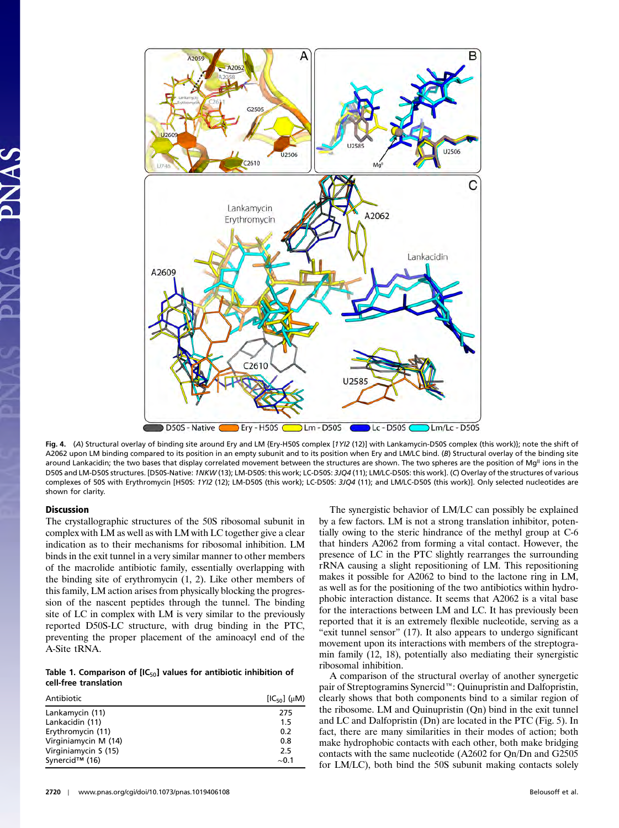

Fig. 4. (A) Structural overlay of binding site around Ery and LM {Ery-H50S complex [1YI2 (12)] with Lankamycin-D50S complex (this work)}; note the shift of A2062 upon LM binding compared to its position in an empty subunit and to its position when Ery and LM/LC bind. (B) Structural overlay of the binding site around Lankacidin; the two bases that display correlated movement between the structures are shown. The two spheres are the position of Mg<sup>II</sup> ions in the D50S and LM-D50S structures. [D50S-Native: 1NKW (13); LM-D50S: this work; LC-D50S: 3JQ4 (11); LM/LC-D50S: this work]. (C) Overlay of the structures of various complexes of 50S with Erythromycin [H50S: 1YI2 (12); LM-D50S (this work); LC-D50S: 3JQ4 (11); and LM/LC-D50S (this work)]. Only selected nucleotides are shown for clarity.

# Discussion

The crystallographic structures of the 50S ribosomal subunit in complex with LM as well as with LM with LC together give a clear indication as to their mechanisms for ribosomal inhibition. LM binds in the exit tunnel in a very similar manner to other members of the macrolide antibiotic family, essentially overlapping with the binding site of erythromycin (1, 2). Like other members of this family, LM action arises from physically blocking the progression of the nascent peptides through the tunnel. The binding site of LC in complex with LM is very similar to the previously reported D50S-LC structure, with drug binding in the PTC, preventing the proper placement of the aminoacyl end of the A-Site tRNA.

# Table 1. Comparison of  $[IC_{50}]$  values for antibiotic inhibition of cell-free translation

| Antibiotic           | $[IC_{50}]$ ( $\mu$ M) |
|----------------------|------------------------|
| Lankamycin (11)      | 275                    |
| Lankacidin (11)      | 1.5                    |
| Erythromycin (11)    | 0.2                    |
| Virginiamycin M (14) | 0.8                    |
| Virginiamycin S (15) | 2.5                    |
| Synercid™ (16)       | $\sim 0.1$             |

The synergistic behavior of LM/LC can possibly be explained by a few factors. LM is not a strong translation inhibitor, potentially owing to the steric hindrance of the methyl group at C-6 that hinders A2062 from forming a vital contact. However, the presence of LC in the PTC slightly rearranges the surrounding rRNA causing a slight repositioning of LM. This repositioning makes it possible for A2062 to bind to the lactone ring in LM, as well as for the positioning of the two antibiotics within hydrophobic interaction distance. It seems that A2062 is a vital base for the interactions between LM and LC. It has previously been reported that it is an extremely flexible nucleotide, serving as a "exit tunnel sensor" (17). It also appears to undergo significant movement upon its interactions with members of the streptogramin family (12, 18), potentially also mediating their synergistic ribosomal inhibition.

A comparison of the structural overlay of another synergetic pair of Streptogramins Synercid™: Quinupristin and Dalfopristin, clearly shows that both components bind to a similar region of the ribosome. LM and Quinupristin (Qn) bind in the exit tunnel and LC and Dalfopristin (Dn) are located in the PTC (Fig. 5). In fact, there are many similarities in their modes of action; both make hydrophobic contacts with each other, both make bridging contacts with the same nucleotide (A2602 for Qn/Dn and G2505 for LM/LC), both bind the 50S subunit making contacts solely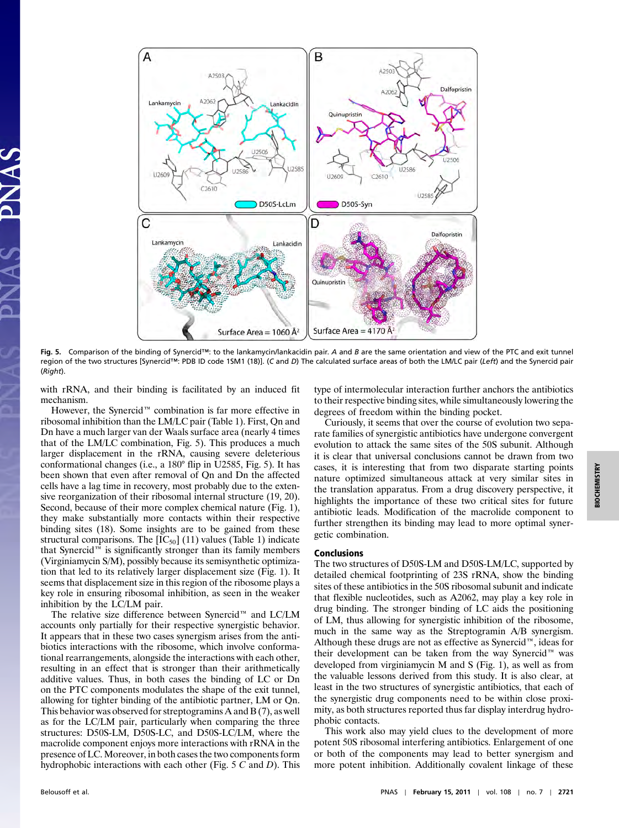

Fig. 5. Comparison of the binding of Synercid™: to the lankamycin/lankacidin pair. A and B are the same orientation and view of the PTC and exit tunnel region of the two structures [Synercid™: PDB ID code 1SM1 (18)]. (C and D) The calculated surface areas of both the LM/LC pair (Left) and the Synercid pair (Right).

with rRNA, and their binding is facilitated by an induced fit mechanism.

However, the Synercid™ combination is far more effective in ribosomal inhibition than the LM/LC pair (Table 1). First, Qn and Dn have a much larger van der Waals surface area (nearly 4 times that of the LM/LC combination, Fig. 5). This produces a much larger displacement in the rRNA, causing severe deleterious conformational changes (i.e., a 180° flip in U2585, Fig. 5). It has been shown that even after removal of Qn and Dn the affected cells have a lag time in recovery, most probably due to the extensive reorganization of their ribosomal internal structure (19, 20). Second, because of their more complex chemical nature (Fig. 1), they make substantially more contacts within their respective binding sites (18). Some insights are to be gained from these structural comparisons. The  $[IC_{50}]$  (11) values (Table 1) indicate that Synercid™ is significantly stronger than its family members (Virginiamycin S/M), possibly because its semisynthetic optimization that led to its relatively larger displacement size (Fig. 1). It seems that displacement size in this region of the ribosome plays a key role in ensuring ribosomal inhibition, as seen in the weaker inhibition by the LC/LM pair.

The relative size difference between Synercid™ and LC/LM accounts only partially for their respective synergistic behavior. It appears that in these two cases synergism arises from the antibiotics interactions with the ribosome, which involve conformational rearrangements, alongside the interactions with each other, resulting in an effect that is stronger than their arithmetically additive values. Thus, in both cases the binding of LC or Dn on the PTC components modulates the shape of the exit tunnel, allowing for tighter binding of the antibiotic partner, LM or Qn. This behavior was observed for streptogramins A and B (7), as well as for the LC/LM pair, particularly when comparing the three structures: D50S-LM, D50S-LC, and D50S-LC/LM, where the macrolide component enjoys more interactions with rRNA in the presence of LC. Moreover, in both cases the two components form hydrophobic interactions with each other (Fig.  $5 \, C$  and  $D$ ). This type of intermolecular interaction further anchors the antibiotics to their respective binding sites, while simultaneously lowering the degrees of freedom within the binding pocket.

Curiously, it seems that over the course of evolution two separate families of synergistic antibiotics have undergone convergent evolution to attack the same sites of the 50S subunit. Although it is clear that universal conclusions cannot be drawn from two cases, it is interesting that from two disparate starting points nature optimized simultaneous attack at very similar sites in the translation apparatus. From a drug discovery perspective, it highlights the importance of these two critical sites for future antibiotic leads. Modification of the macrolide component to further strengthen its binding may lead to more optimal synergetic combination.

## Conclusions

The two structures of D50S-LM and D50S-LM/LC, supported by detailed chemical footprinting of 23S rRNA, show the binding sites of these antibiotics in the 50S ribosomal subunit and indicate that flexible nucleotides, such as A2062, may play a key role in drug binding. The stronger binding of LC aids the positioning of LM, thus allowing for synergistic inhibition of the ribosome, much in the same way as the Streptogramin A/B synergism. Although these drugs are not as effective as Synercid™, ideas for their development can be taken from the way Synercid™ was developed from virginiamycin M and S (Fig. 1), as well as from the valuable lessons derived from this study. It is also clear, at least in the two structures of synergistic antibiotics, that each of the synergistic drug components need to be within close proximity, as both structures reported thus far display interdrug hydrophobic contacts.

This work also may yield clues to the development of more potent 50S ribosomal interfering antibiotics. Enlargement of one or both of the components may lead to better synergism and more potent inhibition. Additionally covalent linkage of these